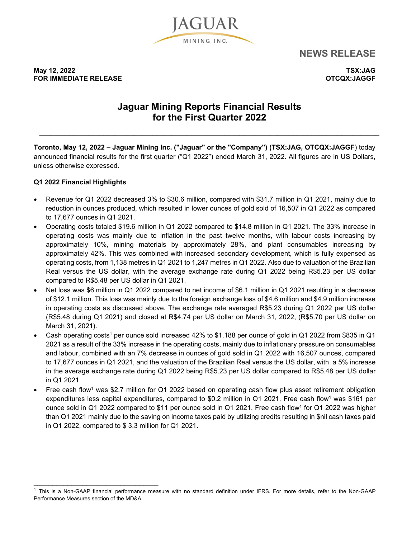

**NEWS RELEASE**

**May 12, 2022 TSX:JAG FOR IMMEDIATE RELEASE CONSUMING A RELEASE CONSUMING A RELEASE CONSUMING A RELEASE CONSUMING A RELEASE CONSUMING** 

# **Jaguar Mining Reports Financial Results for the First Quarter 2022**

\_\_\_\_\_\_\_\_\_\_\_\_\_\_\_\_\_\_\_\_\_\_\_\_\_\_\_\_\_\_\_\_\_\_\_\_\_\_\_\_\_\_\_\_\_\_\_\_\_\_\_\_\_\_\_\_\_\_\_\_\_\_\_\_\_\_\_\_\_\_\_\_\_\_\_\_\_\_\_\_\_\_\_\_\_\_\_\_\_\_

**Toronto, May 12, 2022 – Jaguar Mining Inc. ("Jaguar" or the "Company") (TSX:JAG, OTCQX:JAGGF**) today announced financial results for the first quarter ("Q1 2022") ended March 31, 2022. All figures are in US Dollars, unless otherwise expressed.

### **Q1 2022 Financial Highlights**

\_\_\_\_\_\_\_\_\_\_\_\_\_\_\_\_\_\_\_\_\_\_\_\_\_\_\_\_\_\_\_\_\_

- Revenue for Q1 2022 decreased 3% to \$30.6 million, compared with \$31.7 million in Q1 2021, mainly due to reduction in ounces produced, which resulted in lower ounces of gold sold of 16,507 in Q1 2022 as compared to 17,677 ounces in Q1 2021.
- Operating costs totaled \$19.6 million in Q1 2022 compared to \$14.8 million in Q1 2021. The 33% increase in operating costs was mainly due to inflation in the past twelve months, with labour costs increasing by approximately 10%, mining materials by approximately 28%, and plant consumables increasing by approximately 42%. This was combined with increased secondary development, which is fully expensed as operating costs, from 1,138 metres in Q1 2021 to 1,247 metres in Q1 2022. Also due to valuation of the Brazilian Real versus the US dollar, with the average exchange rate during Q1 2022 being R\$5.23 per US dollar compared to R\$5.48 per US dollar in Q1 2021.
- Net loss was \$6 million in Q1 2022 compared to net income of \$6.1 million in Q1 2021 resulting in a decrease of \$12.1 million. This loss was mainly due to the foreign exchange loss of \$4.6 million and \$4.9 million increase in operating costs as discussed above. The exchange rate averaged R\$5.23 during Q1 2022 per US dollar (R\$5.48 during Q1 2021) and closed at R\$4.74 per US dollar on March 31, 2022, (R\$5.70 per US dollar on March 31, 2021).
- Cash operating costs1 per ounce sold increased 42% to \$1,188 per ounce of gold in Q1 2022 from \$835 in Q1 2021 as a result of the 33% increase in the operating costs, mainly due to inflationary pressure on consumables and labour, combined with an 7% decrease in ounces of gold sold in Q1 2022 with 16,507 ounces, compared to 17,677 ounces in Q1 2021, and the valuation of the Brazilian Real versus the US dollar, with a 5% increase in the average exchange rate during Q1 2022 being R\$5.23 per US dollar compared to R\$5.48 per US dollar in Q1 2021
- Free cash flow<sup>1</sup> was \$2.7 million for Q1 2022 based on operating cash flow plus asset retirement obligation expenditures less capital expenditures, compared to \$0.2 million in  $Q1$  2021. Free cash flow<sup>1</sup> was \$161 per ounce sold in Q1 2022 compared to \$11 per ounce sold in Q1 2021. Free cash flow<sup>1</sup> for Q1 2022 was higher than Q1 2021 mainly due to the saving on income taxes paid by utilizing credits resulting in \$nil cash taxes paid in Q1 2022, compared to \$ 3.3 million for Q1 2021.

<sup>&</sup>lt;sup>1</sup> This is a Non-GAAP financial performance measure with no standard definition under IFRS. For more details, refer to the Non-GAAP Performance Measures section of the MD&A.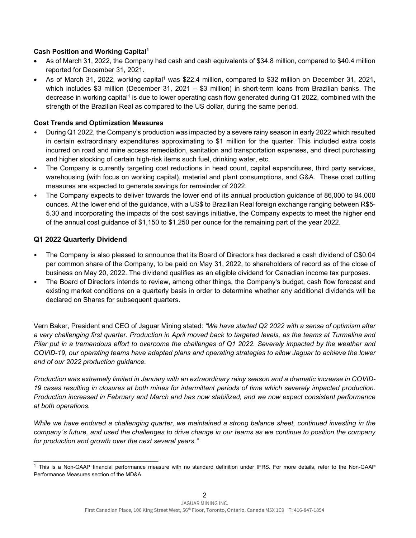### **Cash Position and Working Capital1**

- As of March 31, 2022, the Company had cash and cash equivalents of \$34.8 million, compared to \$40.4 million reported for December 31, 2021.
- As of March 31, 2022, working capital<sup>1</sup> was \$22.4 million, compared to \$32 million on December 31, 2021, which includes \$3 million (December 31, 2021 – \$3 million) in short-term loans from Brazilian banks. The decrease in working capital<sup>1</sup> is due to lower operating cash flow generated during Q1 2022, combined with the strength of the Brazilian Real as compared to the US dollar, during the same period.

### **Cost Trends and Optimization Measures**

- During Q1 2022, the Company's production was impacted by a severe rainy season in early 2022 which resulted in certain extraordinary expenditures approximating to \$1 million for the quarter. This included extra costs incurred on road and mine access remediation, sanitation and transportation expenses, and direct purchasing and higher stocking of certain high-risk items such fuel, drinking water, etc.
- The Company is currently targeting cost reductions in head count, capital expenditures, third party services, warehousing (with focus on working capital), material and plant consumptions, and G&A. These cost cutting measures are expected to generate savings for remainder of 2022.
- The Company expects to deliver towards the lower end of its annual production guidance of 86,000 to 94,000 ounces. At the lower end of the guidance, with a US\$ to Brazilian Real foreign exchange ranging between R\$5- 5.30 and incorporating the impacts of the cost savings initiative, the Company expects to meet the higher end of the annual cost guidance of \$1,150 to \$1,250 per ounce for the remaining part of the year 2022.

### **Q1 2022 Quarterly Dividend**

\_\_\_\_\_\_\_\_\_\_\_\_\_\_\_\_\_\_\_\_\_\_\_\_\_\_\_\_\_\_\_\_\_

- The Company is also pleased to announce that its Board of Directors has declared a cash dividend of C\$0.04 per common share of the Company, to be paid on May 31, 2022, to shareholders of record as of the close of business on May 20, 2022. The dividend qualifies as an eligible dividend for Canadian income tax purposes.
- The Board of Directors intends to review, among other things, the Company's budget, cash flow forecast and existing market conditions on a quarterly basis in order to determine whether any additional dividends will be declared on Shares for subsequent quarters.

Vern Baker, President and CEO of Jaguar Mining stated: *"We have started Q2 2022 with a sense of optimism after a very challenging first quarter. Production in April moved back to targeted levels, as the teams at Turmalina and Pilar put in a tremendous effort to overcome the challenges of Q1 2022. Severely impacted by the weather and COVID-19, our operating teams have adapted plans and operating strategies to allow Jaguar to achieve the lower end of our 2022 production guidance.* 

*Production was extremely limited in January with an extraordinary rainy season and a dramatic increase in COVID-19 cases resulting in closures at both mines for intermittent periods of time which severely impacted production. Production increased in February and March and has now stabilized, and we now expect consistent performance at both operations.* 

*While we have endured a challenging quarter, we maintained a strong balance sheet, continued investing in the company´s future, and used the challenges to drive change in our teams as we continue to position the company for production and growth over the next several years."* 

<sup>&</sup>lt;sup>1</sup> This is a Non-GAAP financial performance measure with no standard definition under IFRS. For more details, refer to the Non-GAAP Performance Measures section of the MD&A.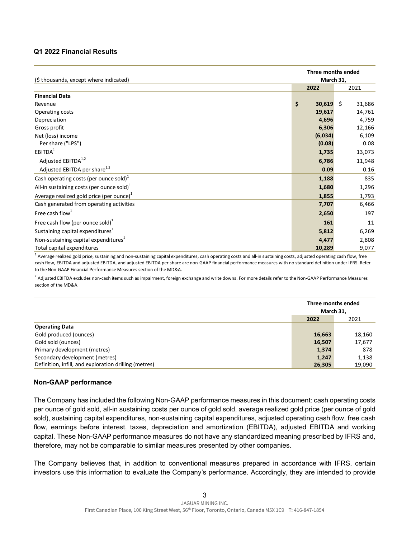#### **Q1 2022 Financial Results**

| (\$ thousands, except where indicated)           | Three months ended<br>March 31, |        |
|--------------------------------------------------|---------------------------------|--------|
|                                                  | 2022                            | 2021   |
| <b>Financial Data</b>                            |                                 |        |
| Revenue                                          | \$<br>$30,619$ \$               | 31,686 |
| Operating costs                                  | 19,617                          | 14,761 |
| Depreciation                                     | 4,696                           | 4,759  |
| Gross profit                                     | 6,306                           | 12,166 |
| Net (loss) income                                | (6,034)                         | 6,109  |
| Per share ("LPS")                                | (0.08)                          | 0.08   |
| EBITDA <sup>1</sup>                              | 1,735                           | 13,073 |
| Adjusted EBITDA <sup>1,2</sup>                   | 6,786                           | 11,948 |
| Adjusted EBITDA per share <sup>1,2</sup>         | 0.09                            | 0.16   |
| Cash operating costs (per ounce sold) $1$        | 1,188                           | 835    |
| All-in sustaining costs (per ounce sold) $1$     | 1,680                           | 1,296  |
| Average realized gold price (per ounce) $1$      | 1,855                           | 1,793  |
| Cash generated from operating activities         | 7,707                           | 6,466  |
| Free cash flow <sup>1</sup>                      | 2,650                           | 197    |
| Free cash flow (per ounce sold) $^1$             | 161                             | 11     |
| Sustaining capital expenditures <sup>1</sup>     | 5,812                           | 6,269  |
| Non-sustaining capital expenditures <sup>1</sup> | 4,477                           | 2,808  |
| Total capital expenditures                       | 10,289                          | 9,077  |

<sup>1</sup> Average realized gold price, sustaining and non-sustaining capital expenditures, cash operating costs and all-in sustaining costs, adjusted operating cash flow, free cash flow, EBITDA and adjusted EBITDA, and adjusted EBITDA per share are non-GAAP financial performance measures with no standard definition under IFRS. Refer to the Non-GAAP Financial Performance Measures section of the MD&A.

<sup>2</sup> Adjusted EBITDA excludes non-cash items such as impairment, foreign exchange and write downs. For more details refer to the Non-GAAP Performance Measures section of the MD&A.

|                                                       | Three months ended<br>March 31, |        |
|-------------------------------------------------------|---------------------------------|--------|
|                                                       | 2022                            | 2021   |
| <b>Operating Data</b>                                 |                                 |        |
| Gold produced (ounces)                                | 16,663                          | 18,160 |
| Gold sold (ounces)                                    | 16,507                          | 17,677 |
| Primary development (metres)                          | 1,374                           | 878    |
| Secondary development (metres)                        | 1,247                           | 1,138  |
| Definition, infill, and exploration drilling (metres) | 26,305                          | 19,090 |

#### **Non-GAAP performance**

The Company has included the following Non-GAAP performance measures in this document: cash operating costs per ounce of gold sold, all-in sustaining costs per ounce of gold sold, average realized gold price (per ounce of gold sold), sustaining capital expenditures, non-sustaining capital expenditures, adjusted operating cash flow, free cash flow, earnings before interest, taxes, depreciation and amortization (EBITDA), adjusted EBITDA and working capital. These Non-GAAP performance measures do not have any standardized meaning prescribed by IFRS and, therefore, may not be comparable to similar measures presented by other companies.

The Company believes that, in addition to conventional measures prepared in accordance with IFRS, certain investors use this information to evaluate the Company's performance. Accordingly, they are intended to provide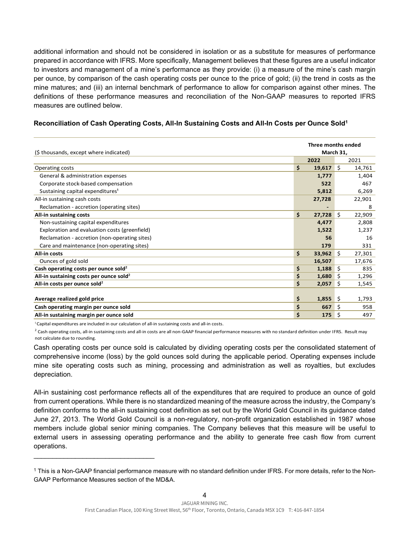additional information and should not be considered in isolation or as a substitute for measures of performance prepared in accordance with IFRS. More specifically, Management believes that these figures are a useful indicator to investors and management of a mine's performance as they provide: (i) a measure of the mine's cash margin per ounce, by comparison of the cash operating costs per ounce to the price of gold; (ii) the trend in costs as the mine matures; and (iii) an internal benchmark of performance to allow for comparison against other mines. The definitions of these performance measures and reconciliation of the Non-GAAP measures to reported IFRS measures are outlined below.

| (\$ thousands, except where indicated)              | Three months ended<br>March 31, |     |        |
|-----------------------------------------------------|---------------------------------|-----|--------|
|                                                     | 2022                            |     | 2021   |
| Operating costs                                     | \$<br>19,617                    | I\$ | 14,761 |
| General & administration expenses                   | 1,777                           |     | 1,404  |
| Corporate stock-based compensation                  | 522                             |     | 467    |
| Sustaining capital expenditures <sup>1</sup>        | 5,812                           |     | 6,269  |
| All-in sustaining cash costs                        | 27,728                          |     | 22,901 |
| Reclamation - accretion (operating sites)           | $\overline{\phantom{0}}$        |     | 8      |
| All-in sustaining costs                             | \$<br>$27,728$ \$               |     | 22,909 |
| Non-sustaining capital expenditures                 | 4.477                           |     | 2,808  |
| Exploration and evaluation costs (greenfield)       | 1,522                           |     | 1,237  |
| Reclamation - accretion (non-operating sites)       | 56                              |     | 16     |
| Care and maintenance (non-operating sites)          | 179                             |     | 331    |
| All-in costs                                        | \$<br>$33,962$ \$               |     | 27,301 |
| Ounces of gold sold                                 | 16,507                          |     | 17,676 |
| Cash operating costs per ounce sold <sup>2</sup>    | \$<br>$1,188$ \$                |     | 835    |
| All-in sustaining costs per ounce sold <sup>2</sup> | \$<br>$1,680$ \$                |     | 1,296  |
| All-in costs per ounce sold <sup>2</sup>            | \$<br>2,057                     | -\$ | 1,545  |
|                                                     |                                 |     |        |
| Average realized gold price                         | \$<br>1,855                     | -\$ | 1,793  |
| Cash operating margin per ounce sold                | \$<br>667                       | -\$ | 958    |
| All-in sustaining margin per ounce sold             | \$<br>175                       | -\$ | 497    |

<sup>1</sup> Capital expenditures are included in our calculation of all-in sustaining costs and all-in costs.

\_\_\_\_\_\_\_\_\_\_\_\_\_\_\_\_\_\_\_\_\_\_\_\_\_\_\_\_\_\_\_\_

 $^2$  Cash operating costs, all-in sustaining costs and all-in costs are all non-GAAP financial performance measures with no standard definition under IFRS. Result may not calculate due to rounding.

Cash operating costs per ounce sold is calculated by dividing operating costs per the consolidated statement of comprehensive income (loss) by the gold ounces sold during the applicable period. Operating expenses include mine site operating costs such as mining, processing and administration as well as royalties, but excludes depreciation.

All-in sustaining cost performance reflects all of the expenditures that are required to produce an ounce of gold from current operations. While there is no standardized meaning of the measure across the industry, the Company's definition conforms to the all-in sustaining cost definition as set out by the World Gold Council in its guidance dated June 27, 2013. The World Gold Council is a non-regulatory, non-profit organization established in 1987 whose members include global senior mining companies. The Company believes that this measure will be useful to external users in assessing operating performance and the ability to generate free cash flow from current operations.

<sup>1</sup> This is a Non-GAAP financial performance measure with no standard definition under IFRS. For more details, refer to the Non-GAAP Performance Measures section of the MD&A.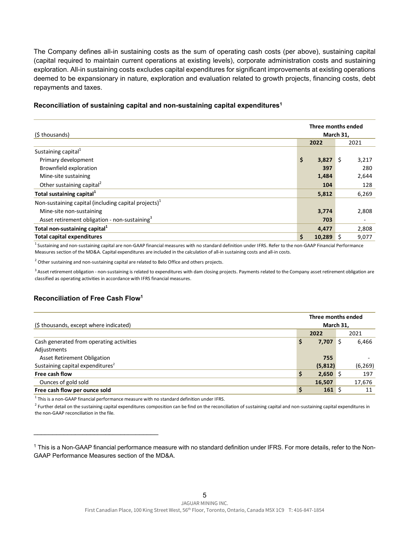The Company defines all-in sustaining costs as the sum of operating cash costs (per above), sustaining capital (capital required to maintain current operations at existing levels), corporate administration costs and sustaining exploration. All-in sustaining costs excludes capital expenditures for significant improvements at existing operations deemed to be expansionary in nature, exploration and evaluation related to growth projects, financing costs, debt repayments and taxes.

#### (\$ thousands) **2022** 2021 Sustaining capital<sup>1</sup> Primary development **\$ 3,827** \$ 3,217 Brownfield exploration **397** 280 Mine-site sustaining 2,644 2,644 2,644 2,644 2,644 2,644 2,644 2,644 2,644 2,644 2,644 2,644 2,644 2,644 2,644 2,644 2,644 2,644 2,644 2,644 2,644 2,644 2,644 2,644 2,644 2,644 2,644 2,644 2,644 2,644 2,644 2,644 2,644 2,6 Other sustaining capital<sup>2</sup> 128 **Total sustaining capital1 5,812** 6,269 Non-sustaining capital (including capital projects) $<sup>1</sup>$ </sup> Mine-site non-sustaining **3,774** 2,808 Asset retirement obligation - non-sustaining<sup>3</sup> **Total non-sustaining capital<sup>1</sup> 2,808 Total capital expenditures \$ 10,289** \$ 9,077 **Three months ended March 31,**

#### **Reconciliation of sustaining capital and non-sustaining capital expenditures1**

<sup>1</sup> Sustaining and non-sustaining capital are non-GAAP financial measures with no standard definition under IFRS. Refer to the non-GAAP Financial Performance Measures section of the MD&A. Capital expenditures are included in the calculation of all-in sustaining costs and all-in costs.

 $2$  Other sustaining and non-sustaining capital are related to Belo Office and others projects.

 $3$  Asset retirement obligation - non-sustaining is related to expenditures with dam closing projects. Payments related to the Company asset retirement obligation are classified as operating activities in accordance with IFRS financial measures.

#### **Reconciliation of Free Cash Flow1**

\_\_\_\_\_\_\_\_\_\_\_\_\_\_\_\_\_\_\_\_\_\_\_\_\_\_\_\_\_\_\_\_\_

| (\$ thousands, except where indicated)       |    | Three months ended<br>March 31, |          |  |
|----------------------------------------------|----|---------------------------------|----------|--|
|                                              |    | 2022                            | 2021     |  |
| Cash generated from operating activities     | \$ | $7,707$ \$                      | 6,466    |  |
| Adjustments                                  |    |                                 |          |  |
| Asset Retirement Obligation                  |    | 755                             |          |  |
| Sustaining capital expenditures <sup>2</sup> |    | (5,812)                         | (6, 269) |  |
| Free cash flow                               | \$ | $2,650$ \$                      | 197      |  |
| Ounces of gold sold                          |    | 16,507                          | 17,676   |  |
| Free cash flow per ounce sold                | Ŝ  | $161 \;$ \$                     | 11       |  |

 $<sup>1</sup>$  This is a non-GAAP financial performance measure with no standard definition under IFRS.</sup>

 $^2$  Further detail on the sustaining capital expenditures composition can be find on the reconciliation of sustaining capital and non-sustaining capital expenditures in the non-GAAP reconciliation in the file.

<sup>1</sup> This is a Non-GAAP financial performance measure with no standard definition under IFRS. For more details, refer to the Non-GAAP Performance Measures section of the MD&A.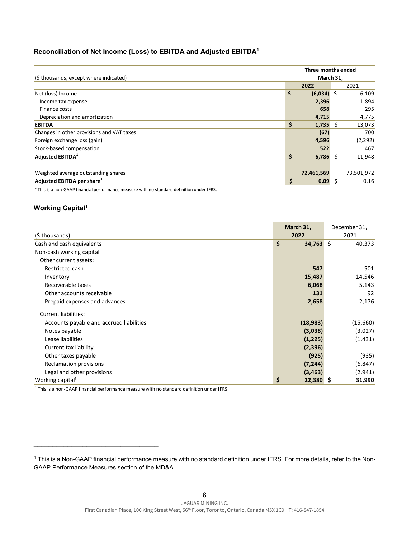### **Reconciliation of Net Income (Loss) to EBITDA and Adjusted EBITDA1**

| (\$ thousands, except where indicated)    | Three months ended |              |    |            |
|-------------------------------------------|--------------------|--------------|----|------------|
|                                           | March 31,          |              |    |            |
|                                           |                    | 2022         |    | 2021       |
| Net (loss) Income                         | \$                 | $(6,034)$ \$ |    | 6,109      |
| Income tax expense                        |                    | 2,396        |    | 1,894      |
| Finance costs                             |                    | 658          |    | 295        |
| Depreciation and amortization             |                    | 4,715        |    | 4,775      |
| <b>EBITDA</b>                             | \$                 | 1,735        | -Ŝ | 13,073     |
| Changes in other provisions and VAT taxes |                    | (67)         |    | 700        |
| Foreign exchange loss (gain)              |                    | 4,596        |    | (2, 292)   |
| Stock-based compensation                  |                    | 522          |    | 467        |
| Adjusted EBITDA <sup>1</sup>              | \$                 | $6,786$ \$   |    | 11,948     |
|                                           |                    |              |    |            |
| Weighted average outstanding shares       |                    | 72,461,569   |    | 73,501,972 |
| Adjusted EBITDA per share <sup>1</sup>    | \$                 | 0.09S        |    | 0.16       |

 $<sup>1</sup>$  This is a non-GAAP financial performance measure with no standard definition under IFRS.</sup>

## **Working Capital1**

| (\$thousands)                            | March 31,<br>2022 | December 31,<br>2021 |  |
|------------------------------------------|-------------------|----------------------|--|
| Cash and cash equivalents                | \$<br>$34,763$ \$ | 40,373               |  |
| Non-cash working capital                 |                   |                      |  |
| Other current assets:                    |                   |                      |  |
| Restricted cash                          | 547               | 501                  |  |
| Inventory                                | 15,487            | 14,546               |  |
| Recoverable taxes                        | 6,068             | 5,143                |  |
| Other accounts receivable                | 131               | 92                   |  |
| Prepaid expenses and advances            | 2,658             | 2,176                |  |
| <b>Current liabilities:</b>              |                   |                      |  |
| Accounts payable and accrued liabilities | (18, 983)         | (15,660)             |  |
| Notes payable                            | (3,038)           | (3,027)              |  |
| Lease liabilities                        | (1, 225)          | (1, 431)             |  |
| Current tax liability                    | (2,396)           |                      |  |
| Other taxes payable                      | (925)             | (935)                |  |
| Reclamation provisions                   | (7, 244)          | (6, 847)             |  |
| Legal and other provisions               | (3, 463)          | (2,941)              |  |
| Working capital <sup>1</sup>             | \$<br>$22,380$ \$ | 31,990               |  |

 $<sup>1</sup>$  This is a non-GAAP financial performance measure with no standard definition under IFRS.</sup>

\_\_\_\_\_\_\_\_\_\_\_\_\_\_\_\_\_\_\_\_\_\_\_\_\_\_\_\_\_\_\_\_\_

<sup>1</sup> This is a Non-GAAP financial performance measure with no standard definition under IFRS. For more details, refer to the Non-GAAP Performance Measures section of the MD&A.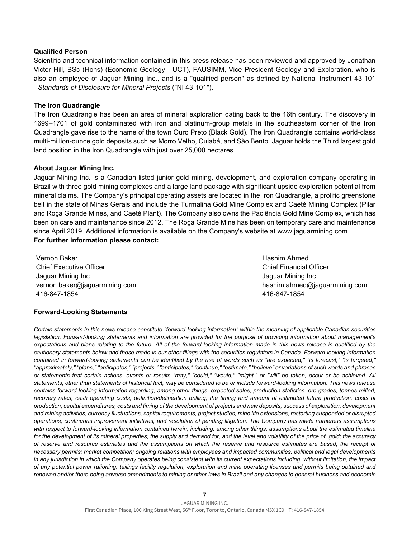#### **Qualified Person**

Scientific and technical information contained in this press release has been reviewed and approved by Jonathan Victor Hill, BSc (Hons) (Economic Geology - UCT), FAUSIMM, Vice President Geology and Exploration, who is also an employee of Jaguar Mining Inc., and is a "qualified person" as defined by National Instrument 43-101 - *Standards of Disclosure for Mineral Projects* ("NI 43-101").

#### **The Iron Quadrangle**

The Iron Quadrangle has been an area of mineral exploration dating back to the 16th century. The discovery in 1699–1701 of gold contaminated with iron and platinum-group metals in the southeastern corner of the Iron Quadrangle gave rise to the name of the town Ouro Preto (Black Gold). The Iron Quadrangle contains world-class multi-million-ounce gold deposits such as Morro Velho, Cuiabá, and São Bento. Jaguar holds the Third largest gold land position in the Iron Quadrangle with just over 25,000 hectares.

#### **About Jaguar Mining Inc.**

Jaguar Mining Inc. is a Canadian-listed junior gold mining, development, and exploration company operating in Brazil with three gold mining complexes and a large land package with significant upside exploration potential from mineral claims. The Company's principal operating assets are located in the Iron Quadrangle, a prolific greenstone belt in the state of Minas Gerais and include the Turmalina Gold Mine Complex and Caeté Mining Complex (Pilar and Roça Grande Mines, and Caeté Plant). The Company also owns the Paciência Gold Mine Complex, which has been on care and maintenance since 2012. The Roça Grande Mine has been on temporary care and maintenance since April 2019. Additional information is available on the Company's website at www.jaguarmining.com. **For further information please contact:**

Vernon Baker Chief Executive Officer Jaguar Mining Inc. vernon.baker@jaguarmining.com 416-847-1854

Hashim Ahmed Chief Financial Officer Jaguar Mining Inc. hashim.ahmed@jaguarmining.com 416-847-1854

### **Forward-Looking Statements**

*Certain statements in this news release constitute "forward-looking information" within the meaning of applicable Canadian securities legislation. Forward-looking statements and information are provided for the purpose of providing information about management's expectations and plans relating to the future. All of the forward-looking information made in this news release is qualified by the cautionary statements below and those made in our other filings with the securities regulators in Canada. Forward-looking information contained in forward-looking statements can be identified by the use of words such as "are expected," "is forecast," "is targeted," "approximately," "plans," "anticipates," "projects," "anticipates," "continue," "estimate," "believe" or variations of such words and phrases or statements that certain actions, events or results "may," "could," "would," "might," or "will" be taken, occur or be achieved. All statements, other than statements of historical fact, may be considered to be or include forward-looking information. This news release contains forward-looking information regarding, among other things, expected sales, production statistics, ore grades, tonnes milled, recovery rates, cash operating costs, definition/delineation drilling, the timing and amount of estimated future production, costs of production, capital expenditures, costs and timing of the development of projects and new deposits, success of exploration, development and mining activities, currency fluctuations, capital requirements, project studies, mine life extensions, restarting suspended or disrupted operations, continuous improvement initiatives, and resolution of pending litigation. The Company has made numerous assumptions*  with respect to forward-looking information contained herein, including, among other things, assumptions about the estimated timeline *for the development of its mineral properties; the supply and demand for, and the level and volatility of the price of, gold; the accuracy of reserve and resource estimates and the assumptions on which the reserve and resource estimates are based; the receipt of necessary permits; market competition; ongoing relations with employees and impacted communities; political and legal developments in any jurisdiction in which the Company operates being consistent with its current expectations including, without limitation, the impact of any potential power rationing, tailings facility regulation, exploration and mine operating licenses and permits being obtained and renewed and/or there being adverse amendments to mining or other laws in Brazil and any changes to general business and economic*